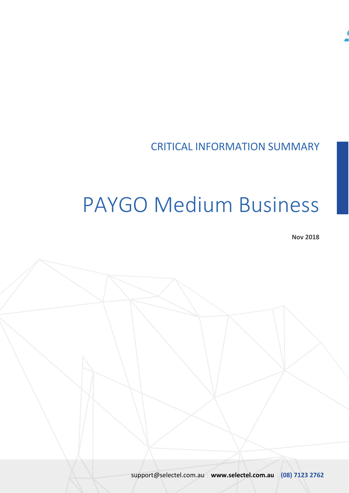

## CRITICAL INFORMATION SUMMARY

# PAYGO Medium Business

**Nov 2018**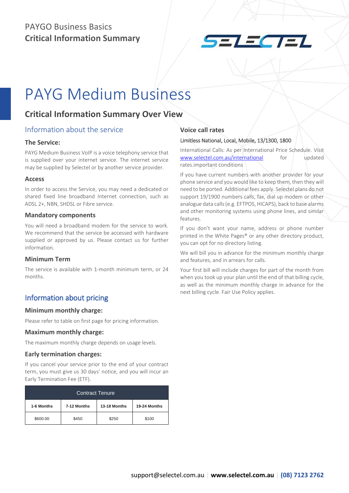## PAYGO Business Basics **Critical Information Summary**



## PAYG Medium Business

### **Critical Information Summary Over View**

#### Information about the service

#### **The Service:**

PAYG Medium Business VoIP is a voice telephony service that is supplied over your internet service. The internet service may be supplied by Selectel or by another service provider.

#### **Access**

In order to access the Service, you may need a dedicated or shared fixed line broadband Internet connection, such as ADSL 2+, NBN, SHDSL or Fibre service.

#### **Mandatory components**

You will need a broadband modem for the service to work. We recommend that the service be accessed with hardware supplied or approved by us. Please contact us for further information.

#### **Minimum Term**

The service is available with 1-month minimum term, or 24 months.

#### Information about pricing

#### **Minimum monthly charge:**

Please refer to table on first page for pricing information.

#### **Maximum monthly charge:**

The maximum monthly charge depends on usage levels.

#### **Early termination charges:**

If you cancel your service prior to the end of your contract term, you must give us 30 days' notice, and you will incur an Early Termination Fee (ETF).

| <b>Contract Tenure</b> |             |              |              |  |  |
|------------------------|-------------|--------------|--------------|--|--|
| 1-6 Months             | 7-12 Months | 13-18 Months | 19-24 Months |  |  |
| \$600.00               | \$450       | \$250        | \$100        |  |  |

#### **Voice call rates**

#### Limitless National, Local, Mobile, 13/1300, 1800

International Calls: As per International Price Schedule. Visit [www.selectel.com.au/international](http://www.selectel.com.au/international) for updated rates.important conditions

If you have current numbers with another provider for your phone service and you would like to keep them, then they will need to be ported. Additional fees apply. Selectel plans do not support 19/1900 numbers calls, fax, dial up modem or other analogue data calls (e.g. EFTPOS, HICAPS), back to base alarms and other monitoring systems using phone lines, and similar features.

If you don't want your name, address or phone number printed in the White Pages® or any other directory product, you can opt for no directory listing.

We will bill you in advance for the minimum monthly charge and features, and in arrears for calls.

Your first bill will include charges for part of the month from when you took up your plan until the end of that billing cycle, as well as the minimum monthly charge in advance for the next billing cycle. Fair Use Policy applies.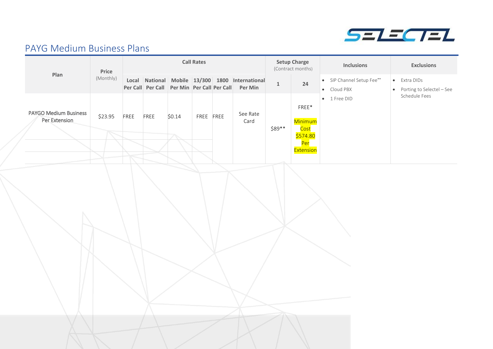

## PAYG Medium Business Plans

|                                               | Price             |      | <b>Call Rates</b> |                                    |           | <b>Setup Charge</b><br>(Contract months) |                                                                                                        |              | <b>Inclusions</b>                                                     | <b>Exclusions</b>                        |                                             |
|-----------------------------------------------|-------------------|------|-------------------|------------------------------------|-----------|------------------------------------------|--------------------------------------------------------------------------------------------------------|--------------|-----------------------------------------------------------------------|------------------------------------------|---------------------------------------------|
| Plan                                          | (Monthly)         |      |                   |                                    |           |                                          | Local National Mobile 13/300 1800 International<br>Per Call Per Call Per Min Per Call Per Call Per Min | $\mathbf{1}$ | 24                                                                    | · SIP Channel Setup Fee**<br>• Cloud PBX | • Extra DIDs<br>• Porting to Selectel - See |
| <b>PAYGO Medium Business</b><br>Per Extension | \$23.95<br>$\sim$ | FREE | FREE              | \$0.14<br>$\overline{\phantom{a}}$ | FREE FREE |                                          | See Rate<br>Card                                                                                       | \$89**       | FREE*<br>Minimum<br>Cost<br>\$574.80<br><mark>Per</mark><br>Extension | $\bullet$ 1 Free DID                     | Schedule Fees                               |
|                                               |                   |      |                   |                                    |           |                                          |                                                                                                        |              |                                                                       |                                          |                                             |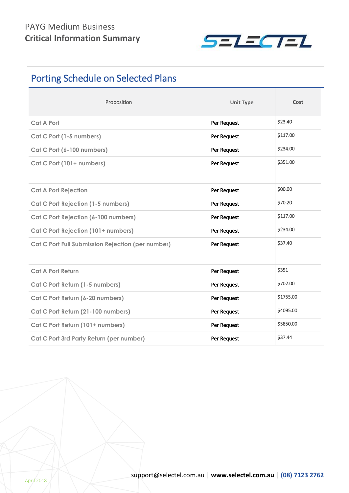

## Porting Schedule on Selected Plans

| Proposition                                       | <b>Unit Type</b> | Cost      |
|---------------------------------------------------|------------------|-----------|
| <b>Cat A Port</b>                                 | Per Request      | \$23.40   |
| Cat C Port (1-5 numbers)                          | Per Request      | \$117.00  |
| Cat C Port (6-100 numbers)                        | Per Request      | \$234.00  |
| Cat C Port (101+ numbers)                         | Per Request      | \$351.00  |
|                                                   |                  |           |
| <b>Cat A Port Rejection</b>                       | Per Request      | \$00.00   |
| <b>Cat C Port Rejection (1-5 numbers)</b>         | Per Request      | \$70.20   |
| Cat C Port Rejection (6-100 numbers)              | Per Request      | \$117.00  |
| Cat C Port Rejection (101+ numbers)               | Per Request      | \$234.00  |
| Cat C Port Full Submission Rejection (per number) | Per Request      | \$37.40   |
|                                                   |                  |           |
| <b>Cat A Port Return</b>                          | Per Request      | \$351     |
| Cat C Port Return (1-5 numbers)                   | Per Request      | \$702.00  |
| Cat C Port Return (6-20 numbers)                  | Per Request      | \$1755.00 |
| Cat C Port Return (21-100 numbers)                | Per Request      | \$4095.00 |
| Cat C Port Return (101+ numbers)                  | Per Request      | \$5850.00 |
| Cat C Port 3rd Party Return (per number)          | Per Request      | \$37.44   |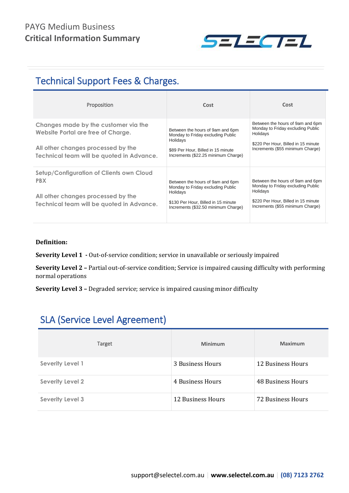

## Technical Support Fees & Charges.

| Proposition                                                                                                                                                   | Cost                                                                                                                                                            | Cost                                                                                                                                                         |
|---------------------------------------------------------------------------------------------------------------------------------------------------------------|-----------------------------------------------------------------------------------------------------------------------------------------------------------------|--------------------------------------------------------------------------------------------------------------------------------------------------------------|
| Changes made by the customer via the<br>Website Portal are free of Charge.<br>All other changes processed by the<br>Technical team will be quoted in Advance. | Between the hours of 9am and 6pm<br>Monday to Friday excluding Public<br>Holidays<br>\$89 Per Hour, Billed in 15 minute<br>Increments (\$22.25 minimum Charge)  | Between the hours of 9am and 6pm<br>Monday to Friday excluding Public<br>Holidays<br>\$220 Per Hour, Billed in 15 minute<br>Increments (\$55 minimum Charge) |
| Setup/Configuration of Clients own Cloud<br><b>PBX</b><br>All other changes processed by the<br>Technical team will be quoted in Advance.                     | Between the hours of 9am and 6pm<br>Monday to Friday excluding Public<br>Holidays<br>\$130 Per Hour, Billed in 15 minute<br>Increments (\$32.50 minimum Charge) | Between the hours of 9am and 6pm<br>Monday to Friday excluding Public<br>Holidays<br>\$220 Per Hour, Billed in 15 minute<br>Increments (\$55 minimum Charge) |

#### **Definition:**

**Severity Level 1 -** Out-of-service condition; service in unavailable or seriously impaired

**Severity Level 2 –** Partial out-of-service condition; Service is impaired causing difficulty with performing normal operations

**Severity Level 3 –** Degraded service; service is impaired causing minor difficulty

## SLA (Service Level Agreement)

| Target                  | Minimum           | Maximum           |
|-------------------------|-------------------|-------------------|
| <b>Severity Level 1</b> | 3 Business Hours  | 12 Business Hours |
| <b>Severity Level 2</b> | 4 Business Hours  | 48 Business Hours |
| <b>Severity Level 3</b> | 12 Business Hours | 72 Business Hours |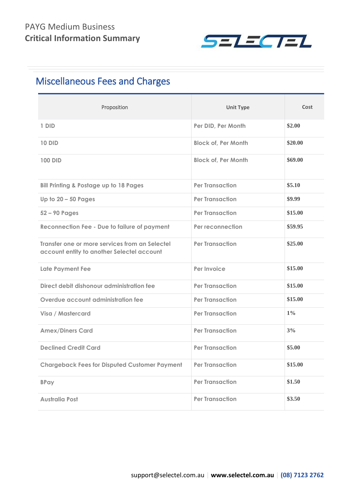

## Miscellaneous Fees and Charges

| Proposition                                                                                  | <b>Unit Type</b>           | Cost    |
|----------------------------------------------------------------------------------------------|----------------------------|---------|
| 1 DID                                                                                        | Per DID, Per Month         | \$2.00  |
| <b>10 DID</b>                                                                                | <b>Block of, Per Month</b> | \$20.00 |
| <b>100 DID</b>                                                                               | <b>Block of, Per Month</b> | \$69.00 |
| <b>Bill Printing &amp; Postage up to 18 Pages</b>                                            | <b>Per Transaction</b>     | \$5.10  |
| Up to $20 - 50$ Pages                                                                        | <b>Per Transaction</b>     | \$9.99  |
| $52 - 90$ Pages                                                                              | <b>Per Transaction</b>     | \$15.00 |
| <b>Reconnection Fee - Due to failure of payment</b>                                          | Per reconnection           | \$59.95 |
| Transfer one or more services from an Selectel<br>account entity to another Selectel account | <b>Per Transaction</b>     | \$25.00 |
| <b>Late Payment Fee</b>                                                                      | Per Invoice                | \$15.00 |
| Direct debit dishonour administration fee                                                    | <b>Per Transaction</b>     | \$15.00 |
| Overdue account administration fee                                                           | <b>Per Transaction</b>     | \$15.00 |
| Visa / Mastercard                                                                            | <b>Per Transaction</b>     | $1\%$   |
| <b>Amex/Diners Card</b>                                                                      | <b>Per Transaction</b>     | 3%      |
| <b>Declined Credit Card</b>                                                                  | <b>Per Transaction</b>     | \$5.00  |
| <b>Chargeback Fees for Disputed Customer Payment</b>                                         | <b>Per Transaction</b>     | \$15.00 |
| <b>BPay</b>                                                                                  | <b>Per Transaction</b>     | \$1.50  |
| <b>Australia Post</b>                                                                        | <b>Per Transaction</b>     | \$3.50  |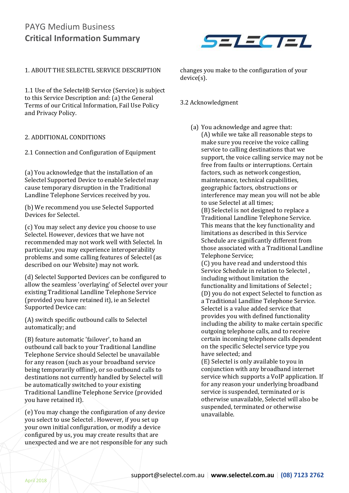

#### 1. ABOUT THE SELECTEL SERVICE DESCRIPTION

1.1 Use of the Selectel® Service (Service) is subject to this Service Description and: (a) the General Terms of our Critical Information, Fail Use Policy and Privacy Policy.

#### 2. ADDITIONAL CONDITIONS

2.1 Connection and Configuration of Equipment

(a) You acknowledge that the installation of an Selectel Supported Device to enable Selectel may cause temporary disruption in the Traditional Landline Telephone Services received by you.

(b) We recommend you use Selectel Supported Devices for Selectel.

(c) You may select any device you choose to use Selectel. However, devices that we have not recommended may not work well with Selectel. In particular, you may experience interoperability problems and some calling features of Selectel (as described on our Website) may not work.

(d) Selectel Supported Devices can be configured to allow the seamless 'overlaying' of Selectel over your existing Traditional Landline Telephone Service (provided you have retained it), ie an Selectel Supported Device can:

(A) switch specific outbound calls to Selectel automatically; and

(B) feature automatic 'failover', to hand an outbound call back to your Traditional Landline Telephone Service should Selectel be unavailable for any reason (such as your broadband service being temporarily offline), or so outbound calls to destinations not currently handled by Selectel will be automatically switched to your existing Traditional Landline Telephone Service (provided you have retained it).

(e) You may change the configuration of any device you select to use Selectel . However, if you set up your own initial configuration, or modify a device configured by us, you may create results that are unexpected and we are not responsible for any such changes you make to the configuration of your device(s).

#### 3.2 Acknowledgment

(a) You acknowledge and agree that: (A) while we take all reasonable steps to make sure you receive the voice calling service to calling destinations that we support, the voice calling service may not be free from faults or interruptions. Certain factors, such as network congestion, maintenance, technical capabilities, geographic factors, obstructions or interference may mean you will not be able to use Selectel at all times;

(B) Selectel is not designed to replace a Traditional Landline Telephone Service. This means that the key functionality and limitations as described in this Service Schedule are significantly different from those associated with a Traditional Landline Telephone Service;

(C) you have read and understood this Service Schedule in relation to Selectel , including without limitation the functionality and limitations of Selectel ; (D) you do not expect Selectel to function as a Traditional Landline Telephone Service. Selectel is a value added service that provides you with defined functionality including the ability to make certain specific outgoing telephone calls, and to receive certain incoming telephone calls dependent on the specific Selectel service type you have selected; and

(E) Selectel is only available to you in conjunction with any broadband internet service which supports a VoIP application. If for any reason your underlying broadband service is suspended, terminated or is otherwise unavailable, Selectel will also be suspended, terminated or otherwise unavailable.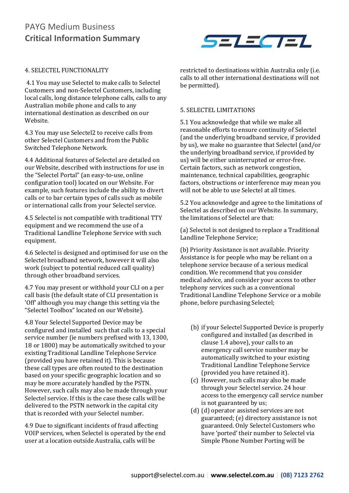

#### 4. SELECTEL FUNCTIONALITY

4.1 You may use Selectel to make calls to Selectel Customers and non-Selectel Customers, including local calls, long distance telephone calls, calls to any Australian mobile phone and calls to any international destination as described on our Website.

4.3 You may use Selectel2 to receive calls from other Selectel Customers and from the Public Switched Telephone Network.

4.4 Additional features of Selectel are detailed on our Website, described with instructions for use in the "Selectel Portal" (an easy-to-use, online configuration tool) located on our Website. For example, such features include the ability to divert calls or to bar certain types of calls such as mobile or international calls from your Selectel service.

4.5 Selectel is not compatible with traditional TTY equipment and we recommend the use of a Traditional Landline Telephone Service with such equipment.

4.6 Selectel is designed and optimised for use on the Selectel broadband network, however it will also work (subject to potential reduced call quality) through other broadband services.

4.7 You may present or withhold your CLI on a per call basis (the default state of CLI presentation is 'Off' although you may change this setting via the "Selectel Toolbox" located on our Website).

4.8 Your Selectel Supported Device may be configured and installed such that calls to a special service number (ie numbers prefixed with 13, 1300, 18 or 1800) may be automatically switched to your existing Traditional Landline Telephone Service (provided you have retained it). This is because these call types are often routed to the destination based on your specific geographic location and so may be more accurately handled by the PSTN. However, such calls may also be made through your Selectel service. If this is the case these calls will be delivered to the PSTN network in the capital city that is recorded with your Selectel number.

4.9 Due to significant incidents of fraud affecting VOIP services, when Selectel is operated by the end user at a location outside Australia, calls will be

restricted to destinations within Australia only (i.e. calls to all other international destinations will not be permitted).

#### 5. SELECTEL LIMITATIONS

5.1 You acknowledge that while we make all reasonable efforts to ensure continuity of Selectel (and the underlying broadband service, if provided by us), we make no guarantee that Selectel (and/or the underlying broadband service, if provided by us) will be either uninterrupted or error-free. Certain factors, such as network congestion, maintenance, technical capabilities, geographic factors, obstructions or interference may mean you will not be able to use Selectel at all times.

5.2 You acknowledge and agree to the limitations of Selectel as described on our Website. In summary, the limitations of Selectel are that:

(a) Selectel is not designed to replace a Traditional Landline Telephone Service;

(b) Priority Assistance is not available. Priority Assistance is for people who may be reliant on a telephone service because of a serious medical condition. We recommend that you consider medical advice, and consider your access to other telephony services such as a conventional Traditional Landline Telephone Service or a mobile phone, before purchasing Selectel;

- (b) if your Selectel Supported Device is properly configured and installed (as described in clause 1.4 above), your calls to an emergency call service number may be automatically switched to your existing Traditional Landline Telephone Service (provided you have retained it).
- (c) However, such calls may also be made through your Selectel service. 24 hour access to the emergency call service number is not guaranteed by us;
- (d) (d) operator assisted services are not guaranteed; (e) directory assistance is not guaranteed. Only Selectel Customers who have 'ported' their number to Selectel via Simple Phone Number Porting will be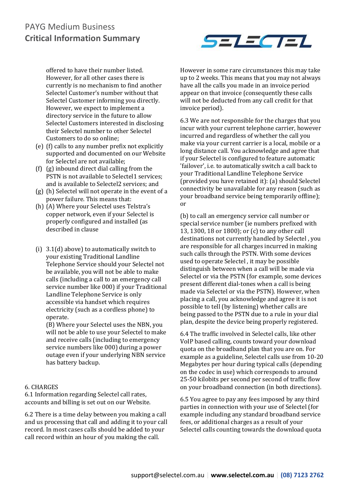

offered to have their number listed. However, for all other cases there is currently is no mechanism to find another Selectel Customer's number without that Selectel Customer informing you directly. However, we expect to implement a directory service in the future to allow Selectel Customers interested in disclosing their Selectel number to other Selectel Customers to do so online;

- (e) (f) calls to any number prefix not explicitly supported and documented on our Website for Selectel are not available;
- (f) (g) inbound direct dial calling from the PSTN is not available to Selectel1 services; and is available to Selectel2 services; and
- (g) (h) Selectel will not operate in the event of a power failure. This means that:
- (h) (A) Where your Selectel uses Telstra's copper network, even if your Selectel is properly configured and installed (as described in clause
- (i) 3.1(d) above) to automatically switch to your existing Traditional Landline Telephone Service should your Selectel not be available, you will not be able to make calls (including a call to an emergency call service number like 000) if your Traditional Landline Telephone Service is only accessible via handset which requires electricity (such as a cordless phone) to operate.

(B) Where your Selectel uses the NBN, you will not be able to use your Selectel to make and receive calls (including to emergency service numbers like 000) during a power outage even if your underlying NBN service has battery backup.

#### 6. CHARGES

6.1 Information regarding Selectel call rates, accounts and billing is set out on our Website.

6.2 There is a time delay between you making a call and us processing that call and adding it to your call record. In most cases calls should be added to your call record within an hour of you making the call.

However in some rare circumstances this may take up to 2 weeks. This means that you may not always have all the calls you made in an invoice period appear on that invoice (consequently these calls will not be deducted from any call credit for that invoice period).

6.3 We are not responsible for the charges that you incur with your current telephone carrier, however incurred and regardless of whether the call you make via your current carrier is a local, mobile or a long distance call. You acknowledge and agree that if your Selectel is configured to feature automatic 'failover', i.e. to automatically switch a call back to your Traditional Landline Telephone Service (provided you have retained it): (a) should Selectel connectivity be unavailable for any reason (such as your broadband service being temporarily offline); or

(b) to call an emergency service call number or special service number (ie numbers prefixed with 13, 1300, 18 or 1800); or (c) to any other call destinations not currently handled by Selectel , you are responsible for all charges incurred in making such calls through the PSTN. With some devices used to operate Selectel , it may be possible distinguish between when a call will be made via Selectel or via the PSTN (for example, some devices present different dial-tones when a call is being made via Selectel or via the PSTN). However, when placing a call, you acknowledge and agree it is not possible to tell (by listening) whether calls are being passed to the PSTN due to a rule in your dial plan, despite the device being properly registered.

6.4 The traffic involved in Selectel calls, like other VoIP based calling, counts toward your download quota on the broadband plan that you are on. For example as a guideline, Selectel calls use from 10-20 Megabytes per hour during typical calls (depending on the codec in use) which corresponds to around 25-50 kilobits per second per second of traffic flow on your broadband connection (in both directions).

6.5 You agree to pay any fees imposed by any third parties in connection with your use of Selectel (for example including any standard broadband service fees, or additional charges as a result of your Selectel calls counting towards the download quota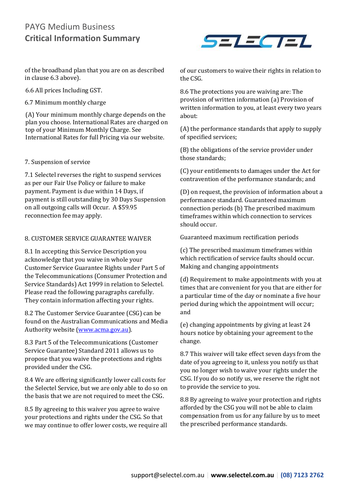of the broadband plan that you are on as described in clause 6.3 above).

6.6 All prices Including GST.

6.7 Minimum monthly charge

(A) Your minimum monthly charge depends on the plan you choose. International Rates are charged on top of your Minimum Monthly Charge. See International Rates for full Pricing via our website.

#### 7. Suspension of service

7.1 Selectel reverses the right to suspend services as per our Fair Use Policy or failure to make payment. Payment is due within 14 Days, if payment is still outstanding by 30 Days Suspension on all outgoing calls will Occur. A \$59.95 reconnection fee may apply.

#### 8. CUSTOMER SERVICE GUARANTEE WAIVER

8.1 In accepting this Service Description you acknowledge that you waive in whole your Customer Service Guarantee Rights under Part 5 of the Telecommunications (Consumer Protection and Service Standards) Act 1999 in relation to Selectel. Please read the following paragraphs carefully. They contain information affecting your rights.

8.2 The Customer Service Guarantee (CSG) can be found on the Australian Communications and Media Authority website [\(www.acma.gov.au\)](http://www.acma.gov.au/).

8.3 Part 5 of the Telecommunications (Customer Service Guarantee) Standard 2011 allows us to propose that you waive the protections and rights provided under the CSG.

8.4 We are offering significantly lower call costs for the Selectel Service, but we are only able to do so on the basis that we are not required to meet the CSG.

8.5 By agreeing to this waiver you agree to waive your protections and rights under the CSG. So that we may continue to offer lower costs, we require all



of our customers to waive their rights in relation to the CSG.

8.6 The protections you are waiving are: The provision of written information (a) Provision of written information to you, at least every two years about:

(A) the performance standards that apply to supply of specified services;

(B) the obligations of the service provider under those standards;

(C) your entitlements to damages under the Act for contravention of the performance standards; and

(D) on request, the provision of information about a performance standard. Guaranteed maximum connection periods (b) The prescribed maximum timeframes within which connection to services should occur.

Guaranteed maximum rectification periods

(c) The prescribed maximum timeframes within which rectification of service faults should occur. Making and changing appointments

(d) Requirement to make appointments with you at times that are convenient for you that are either for a particular time of the day or nominate a five hour period during which the appointment will occur; and

(e) changing appointments by giving at least 24 hours notice by obtaining your agreement to the change.

8.7 This waiver will take effect seven days from the date of you agreeing to it, unless you notify us that you no longer wish to waive your rights under the CSG. If you do so notify us, we reserve the right not to provide the service to you.

8.8 By agreeing to waive your protection and rights afforded by the CSG you will not be able to claim compensation from us for any failure by us to meet the prescribed performance standards.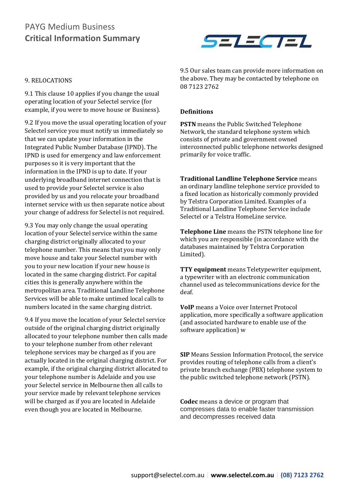

#### 9. RELOCATIONS

9.1 This clause 10 applies if you change the usual operating location of your Selectel service (for example, if you were to move house or Business).

9.2 If you move the usual operating location of your Selectel service you must notify us immediately so that we can update your information in the Integrated Public Number Database (IPND). The IPND is used for emergency and law enforcement purposes so it is very important that the information in the IPND is up to date. If your underlying broadband internet connection that is used to provide your Selectel service is also provided by us and you relocate your broadband internet service with us then separate notice about your change of address for Selectel is not required.

9.3 You may only change the usual operating location of your Selectel service within the same charging district originally allocated to your telephone number. This means that you may only move house and take your Selectel number with you to your new location if your new house is located in the same charging district. For capital cities this is generally anywhere within the metropolitan area. Traditional Landline Telephone Services will be able to make untimed local calls to numbers located in the same charging district.

9.4 If you move the location of your Selectel service outside of the original charging district originally allocated to your telephone number then calls made to your telephone number from other relevant telephone services may be charged as if you are actually located in the original charging district. For example, if the original charging district allocated to your telephone number is Adelaide and you use your Selectel service in Melbourne then all calls to your service made by relevant telephone services will be charged as if you are located in Adelaide even though you are located in Melbourne.

9.5 Our sales team can provide more information on the above. They may be contacted by telephone on 08 7123 2762

#### **Definitions**

**PSTN** means the Public Switched Telephone Network, the standard telephone system which consists of private and government owned interconnected public telephone networks designed primarily for voice traffic.

**Traditional Landline Telephone Service** means an ordinary landline telephone service provided to a fixed location as historically commonly provided by Telstra Corporation Limited. Examples of a Traditional Landline Telephone Service include Selectel or a Telstra HomeLine service.

**Telephone Line** means the PSTN telephone line for which you are responsible (in accordance with the databases maintained by Telstra Corporation Limited).

**TTY equipment** means Teletypewriter equipment, a typewriter with an electronic communication channel used as telecommunications device for the deaf.

**VoIP** means a Voice over Internet Protocol application, more specifically a software application (and associated hardware to enable use of the software application) w

**SIP** Means Session Information Protocol, the service provides routing of telephone calls from a client's private branch exchange (PBX) telephone system to the public switched telephone network (PSTN).

**Codec** means a device or program that compresses data to enable faster transmission and decompresses received data